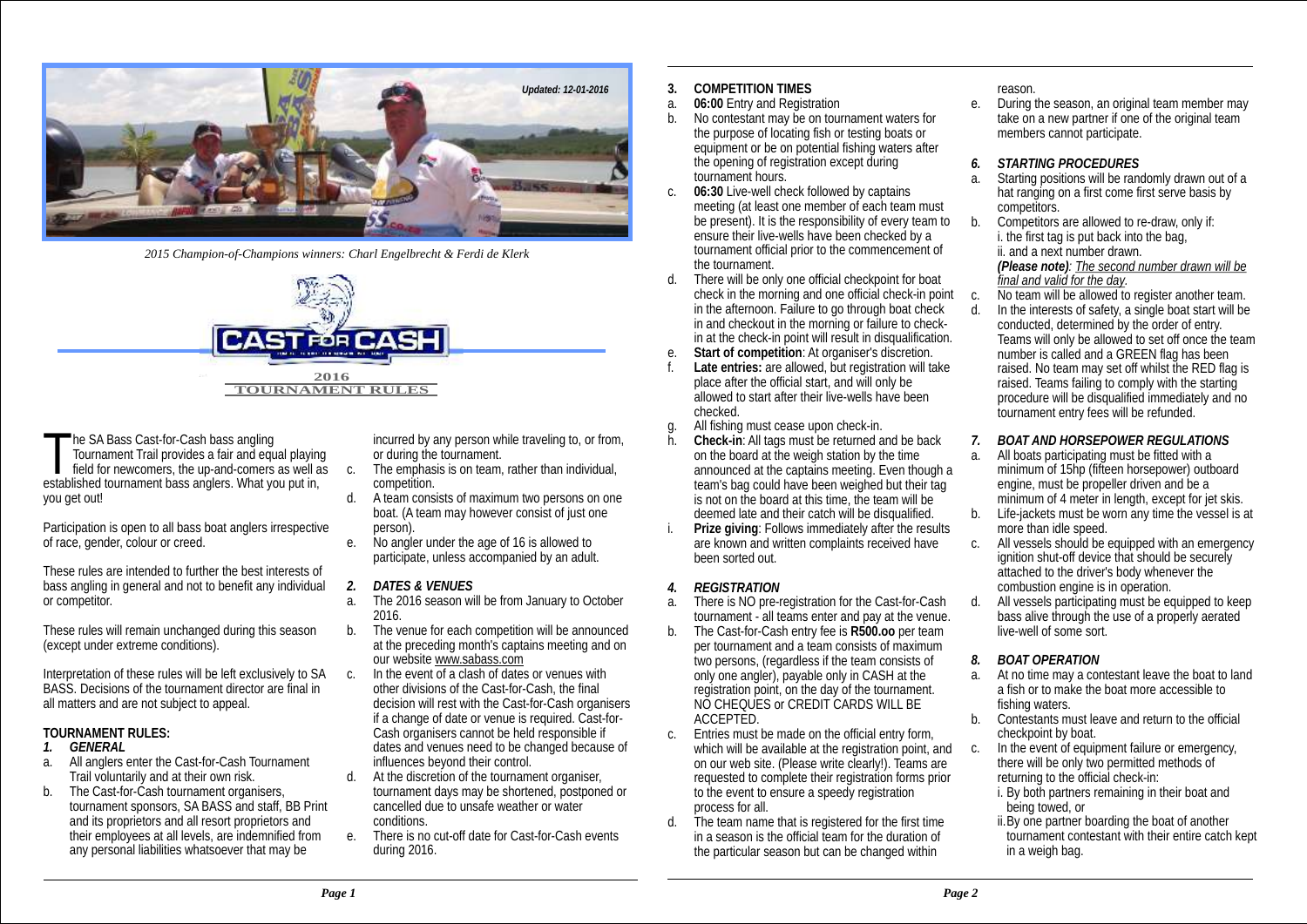

*2015 Champion-of-Champions winners: Charl Engelbrecht & Ferdi de Klerk* 



he SA Bass Cast-for-Cash bass angling incurred by any person while traveling to, or from,<br>Tournament Trail provides a fair and equal playing or during the tournament. field for newcomers, the up-and-comers as well as  $\cdot$  c. The emphasis is on team, rather than individual, blished tournament bass anglers. What you put in.  $\cdot$  competition. established tournament bass anglers. What you put in, you get out!

Participation is open to all bass boat anglers irrespective<br>of race, gender, colour or creed.

These rules are intended to further the best interests of bass angling in general and not to benefit any individual *2. DATES & VENUES*

These rules will remain unchanged during this season b.<br>The venue for each condition shall be announced be announced be announced be announced by announced be announc

Interpretation of these rules will be left exclusively to SA c. In the event of a clash of dates or venues with<br>RASS, Decisions of the tournament director are final in extending the Cast-for-Cash, the final BASS. Decisions of the tournament director are final in all matters and are not subject to appeal.

- 
- a. All anglers enter the Cast-for-Cash Tournament<br>Trail voluntarily and at their own risk.
- tournament sponsors, SA BASS and staff, BB Print cancelled cand its proprietors and all resort proprietors and conditions and its proprietors and all resort proprietors and<br>their employees at all levels, are indemnified from e There is no cut-off date for Cast-for-Cash events their employees at all levels, are indemnified from e. There is no c<br>any personal liabilities whatsoever that may be during 2016. any personal liabilities whatsoever that may be

- 
- A team consists of maximum two persons on one boat. (A team may however consist of just one
- No angler under the age of 16 is allowed to participate, unless accompanied by an adult.

- The 2016 season will be from January to October 2016.<br>The venue for each competition will be announced
- at the preceding month's captains meeting and on our website www.sabass.com<br>In the event of a clash of dates or venues with
- decision will rest with the Cast-for-Cash organisers if a change of date or venue is required. Cast-for-**TOURNAMENT RULES:**<br>TOURNAMENT RULES:<br>dates and venues need to be channed because dates and venues need to be changed because of influences beyond their control.
- Trail voluntarily and at their own risk. d. At the discretion of the tournament organiser,<br>b. The Cast-for-Cash tournament organisers, tournament days may be shortened, postpone b. tournament days may be shortened, postponed or<br>cancelled due to unsafe weather or water
	-
- **3. COMPETITION TIMES**
- a. **06:00** Entry and Registration
- b. No contestant may be on tournament waters for the purpose of locating fish or testing boats or equipment or be on potential fishing waters after the opening of registration except during *6. STARTING PROCEDURES*
- c. **06:30** Live-well check followed by captains hat ranging competitors has tranging competitors. meeting (at least one member of each team must<br>be present). It is the responsibility of every team to b. Competitors are allowed to re-draw, only if: be present). It is the responsibility of every team to b. Competitors are allowed to re-draw, one ensure their live-wells have been checked by a it the first tag is put back into the bag. ensure their live-wells have been checked by a i. the first tag is put back into tournament official prior to the commencement of ii. and a next number drawn. tournament official prior to the commencement of<br>the tournament.
- d. There will be only one official checkpoint for boat *final and valid for the day.* check in the morning and one official check-in point c.<br>in the afternoon. Failure to go through boat check d. in and checkout in the morning or failure to check-<br>in at the check-in point will result in disqualification.
- e. Start of competition: At organiser's discretion.<br>f. Late entries: are allowed, but registration will take
- 
- g. All fishing must cease upon check-in.
- h. **Check-in**: All tags must be returned and be back *7. BOAT AND HORSEPOWER REGULATIONS* on the board at the weigh station by the time a. All boats participating must be fitted with a<br>announced at the captains meeting. Even though a minimum of 15hp (fifteen horsepower) outboard announced at the captains meeting. Even though a minimum of 15hp (fifteen horsepower) out<br>team's bag could have been weighed but their tag engine, must be propeller driven and be a team's bag could have been weighed but their tag<br>is not on the board at this time, the team will be is not on the board at this time, the team will be  $\sim$  minimum of 4 meter in length, except for jet skis.<br>deemed late and their catch will be disqualified.  $\sim$  b. Life-iackets must be worn any time the vessel is a
- i. Prize giving: Follows immediately after the results<br>are known and written complaints received have
- *REGISTRATION*
- *4. REGISTRATION* combustion engine is in operation.<br>**2.** There is NO pre-registration for the Cast-for-Cash d All vessels participating must be equal to equal the equ a. There is NO pre-registration for the Cast-for-Cash tournament - all teams enter and pay at the venue.
- b. The Cast-for-Cash entry fee is **R500.oo** per team per tournament and a team consists of maximum two persons, (regardless if the team consists of only one angler), payable only in CASH at the registration point, on the day of the tournament. NO CHEQUES or CREDIT CARDS WILL BE ACCEPTED.
- c. Entries must be made on the official entry form, which will be available at the registration point, and on our web site. (Please write clearly!). Teams are requested to complete their registration forms prior to the event to ensure a speedy registration process for all.
- d. The team name that is registered for the first time in a season is the official team for the duration of the particular season but can be changed within

reason.

- e. During the season, an original team member may take on a new partner if one of the original team members cannot participate.
- 
- Starting positions will be randomly drawn out of a.<br>hat ranging on a first come first serve basis by
- (Please note): **The second number drawn will be** final and valid for the day.
- 
- In the interests of safety, a single boat start will be conducted, determined by the order of entry. Teams will only be allowed to set off once the team<br>number is called and a GRFFN flag has been Late entries: are allowed, but registration will take raised. No team may set off whilst the RED flag is<br>place after the official start, and will only be raised. Teams failing to comply with the starting place after the official start, and will only be raised. Teams failing to comply with the starting<br>allowed to start after their live-wells have been recording will be discussified immediately and n allowed to start after their live-wells have been procedure will be disqualified immediately and no<br>checked thurnament entry fees will be refunded tournament entry fees will be refunded.
	-
	-
	- Life-jackets must be worn any time the vessel is at more than idle speed.
- are known and written complaints received have c. All vessels should be equipped with an emergency<br>heen sorted out consistent in emergency ignition shut-off device that should be securely attached to the driver's body whenever the
	- All vessels participating must be equipped to keep bass alive through the use of a properly aerated live-well of some sort.
	- *8. BOAT OPERATION*
	- a. At no time may a contestant leave the boat to land a fish or to make the boat more accessible to fishing waters.
	- b. Contestants must leave and return to the official checkpoint by boat.
	- c. In the event of equipment failure or emergency, there will be only two permitted methods of returning to the official check-in:
		- i. By both partners remaining in their boat and being towed, or
		- ii.By one partner boarding the boat of another tournament contestant with their entire catch kept in a weigh bag.